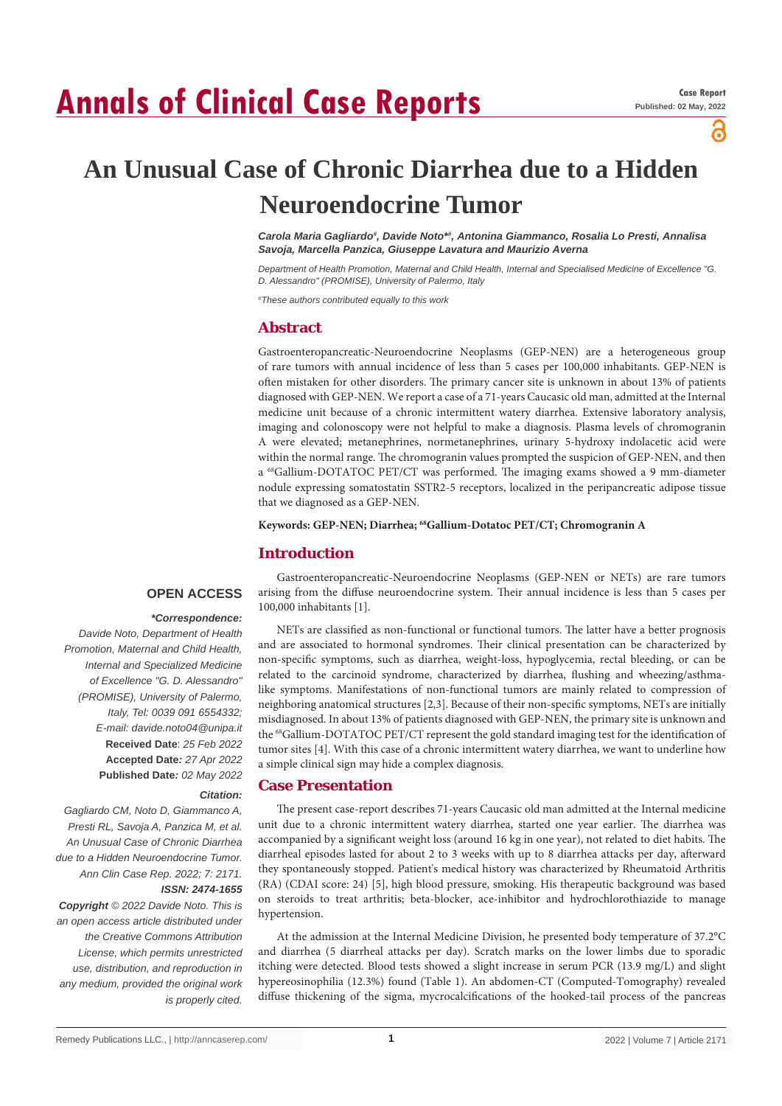# **Annals of Clinical Case Reports**

പ്പ

# **An Unusual Case of Chronic Diarrhea due to a Hidden Neuroendocrine Tumor**

*Carola Maria Gagliardo# , Davide Noto\*# , Antonina Giammanco, Rosalia Lo Presti, Annalisa Savoja, Marcella Panzica, Giuseppe Lavatura and Maurizio Averna*

*Department of Health Promotion, Maternal and Child Health, Internal and Specialised Medicine of Excellence "G. D. Alessandro" (PROMISE), University of Palermo, Italy*

*# These authors contributed equally to this work*

### **Abstract**

Gastroenteropancreatic-Neuroendocrine Neoplasms (GEP-NEN) are a heterogeneous group of rare tumors with annual incidence of less than 5 cases per 100,000 inhabitants. GEP-NEN is often mistaken for other disorders. The primary cancer site is unknown in about 13% of patients diagnosed with GEP-NEN. We report a case of a 71-years Caucasic old man, admitted at the Internal medicine unit because of a chronic intermittent watery diarrhea. Extensive laboratory analysis, imaging and colonoscopy were not helpful to make a diagnosis. Plasma levels of chromogranin A were elevated; metanephrines, normetanephrines, urinary 5-hydroxy indolacetic acid were within the normal range. The chromogranin values prompted the suspicion of GEP-NEN, and then a <sup>68</sup>Gallium-DOTATOC PET/CT was performed. The imaging exams showed a 9 mm-diameter nodule expressing somatostatin SSTR2-5 receptors, localized in the peripancreatic adipose tissue that we diagnosed as a GEP-NEN.

**Keywords: GEP-NEN; Diarrhea; 68Gallium-Dotatoc PET/CT; Chromogranin A**

#### **Introduction**

### **OPEN ACCESS**

#### *\*Correspondence:*

*Davide Noto, Department of Health Promotion, Maternal and Child Health, Internal and Specialized Medicine of Excellence "G. D. Alessandro" (PROMISE), University of Palermo, Italy, Tel: 0039 091 6554332; E-mail: davide.noto04@unipa.it* **Received Date**: *25 Feb 2022* **Accepted Date***: 27 Apr 2022* **Published Date***: 02 May 2022*

## arising from the diffuse neuroendocrine system. Their annual incidence is less than 5 cases per 100,000 inhabitants [1]. NETs are classified as non-functional or functional tumors. The latter have a better prognosis and are associated to hormonal syndromes. Their clinical presentation can be characterized by

non-specific symptoms, such as diarrhea, weight-loss, hypoglycemia, rectal bleeding, or can be related to the carcinoid syndrome, characterized by diarrhea, flushing and wheezing/asthmalike symptoms. Manifestations of non-functional tumors are mainly related to compression of neighboring anatomical structures [2,3]. Because of their non-specific symptoms, NETs are initially misdiagnosed. In about 13% of patients diagnosed with GEP-NEN, the primary site is unknown and the <sup>68</sup>Gallium-DOTATOC PET/CT represent the gold standard imaging test for the identification of tumor sites [4]. With this case of a chronic intermittent watery diarrhea, we want to underline how

Gastroenteropancreatic-Neuroendocrine Neoplasms (GEP-NEN or NETs) are rare tumors

#### **Case Presentation** *Citation:*

The present case-report describes 71-years Caucasic old man admitted at the Internal medicine unit due to a chronic intermittent watery diarrhea, started one year earlier. The diarrhea was accompanied by a significant weight loss (around 16 kg in one year), not related to diet habits. The diarrheal episodes lasted for about 2 to 3 weeks with up to 8 diarrhea attacks per day, afterward they spontaneously stopped. Patient's medical history was characterized by Rheumatoid Arthritis (RA) (CDAI score: 24) [5], high blood pressure, smoking. His therapeutic background was based on steroids to treat arthritis; beta-blocker, ace-inhibitor and hydrochlorothiazide to manage hypertension.

At the admission at the Internal Medicine Division, he presented body temperature of 37.2°C and diarrhea (5 diarrheal attacks per day). Scratch marks on the lower limbs due to sporadic itching were detected. Blood tests showed a slight increase in serum PCR (13.9 mg/L) and slight hypereosinophilia (12.3%) found (Table 1). An abdomen-CT (Computed-Tomography) revealed diffuse thickening of the sigma, mycrocalcifications of the hooked-tail process of the pancreas

*Presti RL, Savoja A, Panzica M, et al. An Unusual Case of Chronic Diarrhea due to a Hidden Neuroendocrine Tumor. Ann Clin Case Rep. 2022; 7: 2171. ISSN: 2474-1655 Copyright © 2022 Davide Noto. This is* 

*Gagliardo CM, Noto D, Giammanco A,* 

*an open access article distributed under the Creative Commons Attribution License, which permits unrestricted use, distribution, and reproduction in any medium, provided the original work is properly cited.*

a simple clinical sign may hide a complex diagnosis.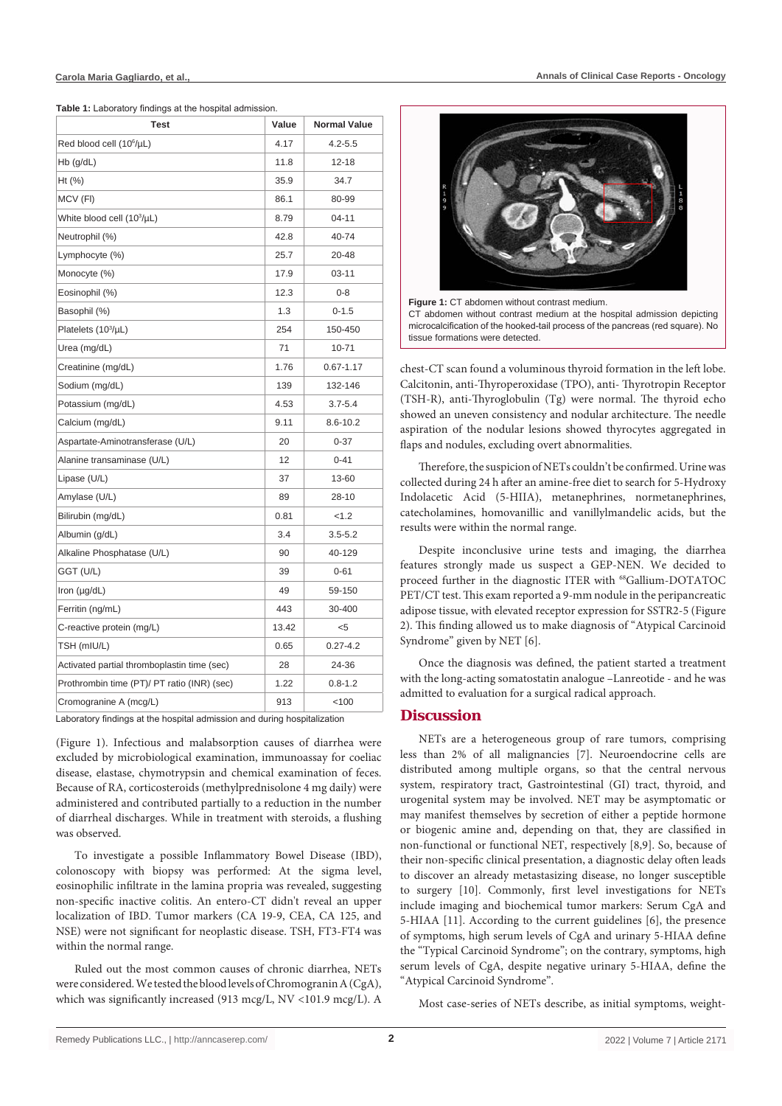**Table 1:** Laboratory findings at the hospital admission.

| Test                                                                     | Value | <b>Normal Value</b> |
|--------------------------------------------------------------------------|-------|---------------------|
| Red blood cell (10 <sup>6</sup> /µL)                                     | 4.17  | $4.2 - 5.5$         |
| $Hb$ (g/dL)                                                              | 11.8  | $12 - 18$           |
| Ht (%)                                                                   | 35.9  | 34.7                |
| MCV (FI)                                                                 | 86.1  | 80-99               |
| White blood cell (10 <sup>3</sup> /µL)                                   | 8.79  | $04 - 11$           |
| Neutrophil (%)                                                           | 42.8  | 40-74               |
| Lymphocyte (%)                                                           | 25.7  | 20-48               |
| Monocyte (%)                                                             | 17.9  | $03 - 11$           |
| Eosinophil (%)                                                           | 12.3  | $0 - 8$             |
| Basophil (%)                                                             | 1.3   | $0 - 1.5$           |
| Platelets (10 <sup>3</sup> /µL)                                          | 254   | 150-450             |
| Urea (mg/dL)                                                             | 71    | 10-71               |
| Creatinine (mg/dL)                                                       | 1.76  | $0.67 - 1.17$       |
| Sodium (mg/dL)                                                           | 139   | 132-146             |
| Potassium (mg/dL)                                                        | 4.53  | $3.7 - 5.4$         |
| Calcium (mg/dL)                                                          | 9.11  | 8.6-10.2            |
| Aspartate-Aminotransferase (U/L)                                         | 20    | $0 - 37$            |
| Alanine transaminase (U/L)                                               | 12    | $0 - 41$            |
| Lipase (U/L)                                                             | 37    | 13-60               |
| Amylase (U/L)                                                            | 89    | 28-10               |
| Bilirubin (mg/dL)                                                        | 0.81  | < 1.2               |
| Albumin (g/dL)                                                           | 3.4   | $3.5 - 5.2$         |
| Alkaline Phosphatase (U/L)                                               | 90    | 40-129              |
| GGT (U/L)                                                                | 39    | $0 - 61$            |
| Iron (µg/dL)                                                             | 49    | 59-150              |
| Ferritin (ng/mL)                                                         | 443   | 30-400              |
| C-reactive protein (mg/L)                                                | 13.42 | $<$ 5               |
| TSH (mIU/L)                                                              | 0.65  | $0.27 - 4.2$        |
| Activated partial thromboplastin time (sec)                              | 28    | 24-36               |
| Prothrombin time (PT)/ PT ratio (INR) (sec)                              | 1.22  | $0.8 - 1.2$         |
| Cromogranine A (mcg/L)                                                   | 913   | 100                 |
| Loberatory findings of the boopital admission and during boopitalization |       |                     |

pratory findings at the hospital admission and during hospit

(Figure 1). Infectious and malabsorption causes of diarrhea were excluded by microbiological examination, immunoassay for coeliac disease, elastase, chymotrypsin and chemical examination of feces. Because of RA, corticosteroids (methylprednisolone 4 mg daily) were administered and contributed partially to a reduction in the number of diarrheal discharges. While in treatment with steroids, a flushing was observed.

To investigate a possible Inflammatory Bowel Disease (IBD), colonoscopy with biopsy was performed: At the sigma level, eosinophilic infiltrate in the lamina propria was revealed, suggesting non-specific inactive colitis. An entero-CT didn't reveal an upper localization of IBD. Tumor markers (CA 19-9, CEA, CA 125, and NSE) were not significant for neoplastic disease. TSH, FT3-FT4 was within the normal range.

Ruled out the most common causes of chronic diarrhea, NETs were considered. We tested the blood levels of Chromogranin A (CgA), which was significantly increased (913 mcg/L, NV <101.9 mcg/L). A



**Figure 1:** CT abdomen without contrast medium. CT abdomen without contrast medium at the hospital admission depicting microcalcification of the hooked-tail process of the pancreas (red square). No tissue formations were detected.

chest-CT scan found a voluminous thyroid formation in the left lobe. Calcitonin, anti-Thyroperoxidase (TPO), anti- Thyrotropin Receptor (TSH-R), anti-Thyroglobulin (Tg) were normal. The thyroid echo showed an uneven consistency and nodular architecture. The needle aspiration of the nodular lesions showed thyrocytes aggregated in flaps and nodules, excluding overt abnormalities.

Therefore, the suspicion of NETs couldn't be confirmed. Urine was collected during 24 h after an amine-free diet to search for 5-Hydroxy Indolacetic Acid (5-HIIA), metanephrines, normetanephrines, catecholamines, homovanillic and vanillylmandelic acids, but the results were within the normal range.

Despite inconclusive urine tests and imaging, the diarrhea features strongly made us suspect a GEP-NEN. We decided to proceed further in the diagnostic ITER with <sup>68</sup>Gallium-DOTATOC PET/CT test. This exam reported a 9-mm nodule in the peripancreatic adipose tissue, with elevated receptor expression for SSTR2-5 (Figure 2). This finding allowed us to make diagnosis of "Atypical Carcinoid Syndrome" given by NET [6].

Once the diagnosis was defined, the patient started a treatment with the long-acting somatostatin analogue –Lanreotide - and he was admitted to evaluation for a surgical radical approach.

#### **Discussion**

NETs are a heterogeneous group of rare tumors, comprising less than 2% of all malignancies [7]. Neuroendocrine cells are distributed among multiple organs, so that the central nervous system, respiratory tract, Gastrointestinal (GI) tract, thyroid, and urogenital system may be involved. NET may be asymptomatic or may manifest themselves by secretion of either a peptide hormone or biogenic amine and, depending on that, they are classified in non-functional or functional NET, respectively [8,9]. So, because of their non-specific clinical presentation, a diagnostic delay often leads to discover an already metastasizing disease, no longer susceptible to surgery [10]. Commonly, first level investigations for NETs include imaging and biochemical tumor markers: Serum CgA and 5-HIAA [11]. According to the current guidelines [6], the presence of symptoms, high serum levels of CgA and urinary 5-HIAA define the "Typical Carcinoid Syndrome"; on the contrary, symptoms, high serum levels of CgA, despite negative urinary 5-HIAA, define the "Atypical Carcinoid Syndrome".

Most case-series of NETs describe, as initial symptoms, weight-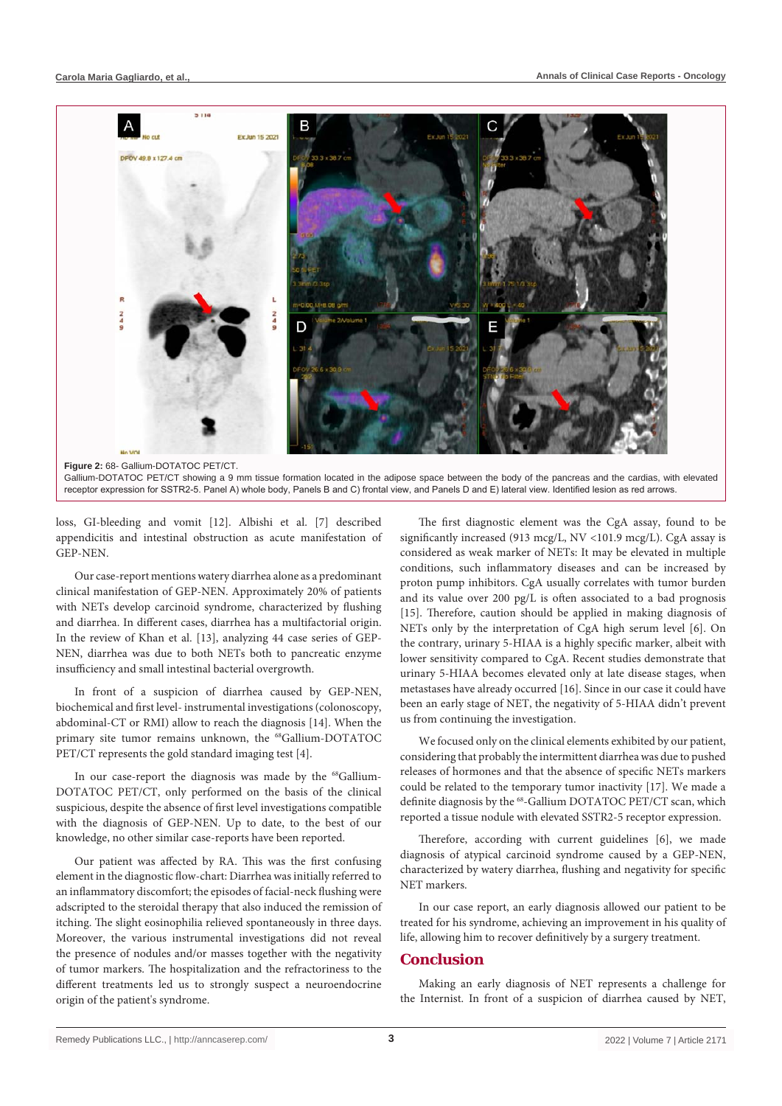

loss, GI-bleeding and vomit [12]. Albishi et al. [7] described appendicitis and intestinal obstruction as acute manifestation of GEP-NEN.

Our case-report mentions watery diarrhea alone as a predominant clinical manifestation of GEP-NEN. Approximately 20% of patients with NETs develop carcinoid syndrome, characterized by flushing and diarrhea. In different cases, diarrhea has a multifactorial origin. In the review of Khan et al. [13], analyzing 44 case series of GEP-NEN, diarrhea was due to both NETs both to pancreatic enzyme insufficiency and small intestinal bacterial overgrowth.

In front of a suspicion of diarrhea caused by GEP-NEN, biochemical and first level- instrumental investigations (colonoscopy, abdominal-CT or RMI) allow to reach the diagnosis [14]. When the primary site tumor remains unknown, the <sup>68</sup>Gallium-DOTATOC PET/CT represents the gold standard imaging test [4].

In our case-report the diagnosis was made by the <sup>68</sup>Gallium-DOTATOC PET/CT, only performed on the basis of the clinical suspicious, despite the absence of first level investigations compatible with the diagnosis of GEP-NEN. Up to date, to the best of our knowledge, no other similar case-reports have been reported.

Our patient was affected by RA. This was the first confusing element in the diagnostic flow-chart: Diarrhea was initially referred to an inflammatory discomfort; the episodes of facial-neck flushing were adscripted to the steroidal therapy that also induced the remission of itching. The slight eosinophilia relieved spontaneously in three days. Moreover, the various instrumental investigations did not reveal the presence of nodules and/or masses together with the negativity of tumor markers. The hospitalization and the refractoriness to the different treatments led us to strongly suspect a neuroendocrine origin of the patient's syndrome.

The first diagnostic element was the CgA assay, found to be significantly increased (913 mcg/L, NV <101.9 mcg/L). CgA assay is considered as weak marker of NETs: It may be elevated in multiple conditions, such inflammatory diseases and can be increased by proton pump inhibitors. CgA usually correlates with tumor burden and its value over 200 pg/L is often associated to a bad prognosis [15]. Therefore, caution should be applied in making diagnosis of NETs only by the interpretation of CgA high serum level [6]. On the contrary, urinary 5-HIAA is a highly specific marker, albeit with lower sensitivity compared to CgA. Recent studies demonstrate that urinary 5-HIAA becomes elevated only at late disease stages, when metastases have already occurred [16]. Since in our case it could have been an early stage of NET, the negativity of 5-HIAA didn't prevent us from continuing the investigation.

We focused only on the clinical elements exhibited by our patient, considering that probably the intermittent diarrhea was due to pushed releases of hormones and that the absence of specific NETs markers could be related to the temporary tumor inactivity [17]. We made a definite diagnosis by the <sup>68</sup>-Gallium DOTATOC PET/CT scan, which reported a tissue nodule with elevated SSTR2-5 receptor expression.

Therefore, according with current guidelines [6], we made diagnosis of atypical carcinoid syndrome caused by a GEP-NEN, characterized by watery diarrhea, flushing and negativity for specific NET markers.

In our case report, an early diagnosis allowed our patient to be treated for his syndrome, achieving an improvement in his quality of life, allowing him to recover definitively by a surgery treatment.

#### **Conclusion**

Making an early diagnosis of NET represents a challenge for the Internist. In front of a suspicion of diarrhea caused by NET,